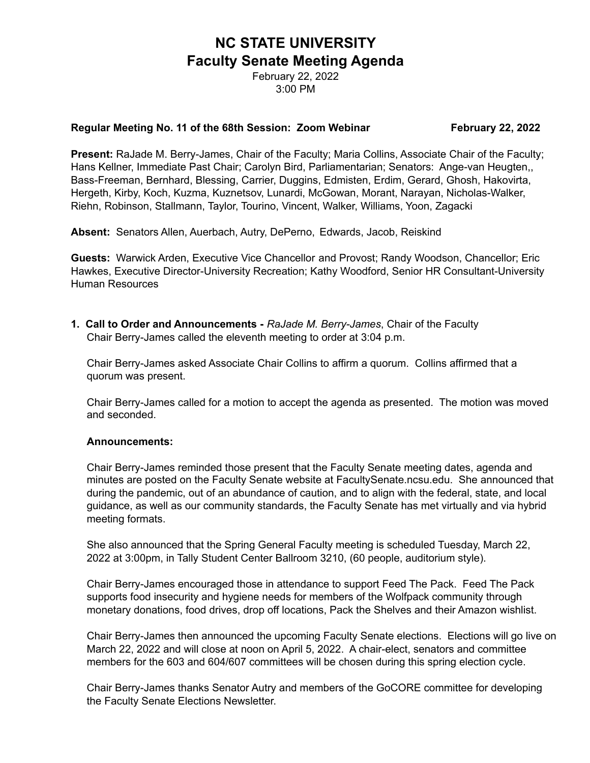# **NC STATE UNIVERSITY Faculty Senate Meeting Agenda**

February 22, 2022 3:00 PM

#### **Regular Meeting No. 11 of the 68th Session: Zoom Webinar February 22, 2022**

**Present:** RaJade M. Berry-James, Chair of the Faculty; Maria Collins, Associate Chair of the Faculty; Hans Kellner, Immediate Past Chair; Carolyn Bird, Parliamentarian; Senators: Ange-van Heugten,, Bass-Freeman, Bernhard, Blessing, Carrier, Duggins, Edmisten, Erdim, Gerard, Ghosh, Hakovirta, Hergeth, Kirby, Koch, Kuzma, Kuznetsov, Lunardi, McGowan, Morant, Narayan, Nicholas-Walker, Riehn, Robinson, Stallmann, Taylor, Tourino, Vincent, Walker, Williams, Yoon, Zagacki

**Absent:** Senators Allen, Auerbach, Autry, DePerno, Edwards, Jacob, Reiskind

**Guests:** Warwick Arden, Executive Vice Chancellor and Provost; Randy Woodson, Chancellor; Eric Hawkes, Executive Director-University Recreation; Kathy Woodford, Senior HR Consultant-University Human Resources

**1. Call to Order and Announcements -** *RaJade M. Berry-James*, Chair of the Faculty Chair Berry-James called the eleventh meeting to order at 3:04 p.m.

Chair Berry-James asked Associate Chair Collins to affirm a quorum. Collins affirmed that a quorum was present.

Chair Berry-James called for a motion to accept the agenda as presented. The motion was moved and seconded.

#### **Announcements:**

Chair Berry-James reminded those present that the Faculty Senate meeting dates, agenda and minutes are posted on the Faculty Senate website at FacultySenate.ncsu.edu. She announced that during the pandemic, out of an abundance of caution, and to align with the federal, state, and local guidance, as well as our community standards, the Faculty Senate has met virtually and via hybrid meeting formats.

She also announced that the Spring General Faculty meeting is scheduled Tuesday, March 22, 2022 at 3:00pm, in Tally Student Center Ballroom 3210, (60 people, auditorium style).

Chair Berry-James encouraged those in attendance to support Feed The Pack. Feed The Pack supports food insecurity and hygiene needs for members of the Wolfpack community through monetary donations, food drives, drop off locations, Pack the Shelves and their Amazon wishlist.

Chair Berry-James then announced the upcoming Faculty Senate elections. Elections will go live on March 22, 2022 and will close at noon on April 5, 2022. A chair-elect, senators and committee members for the 603 and 604/607 committees will be chosen during this spring election cycle.

Chair Berry-James thanks Senator Autry and members of the GoCORE committee for developing the Faculty Senate Elections Newsletter.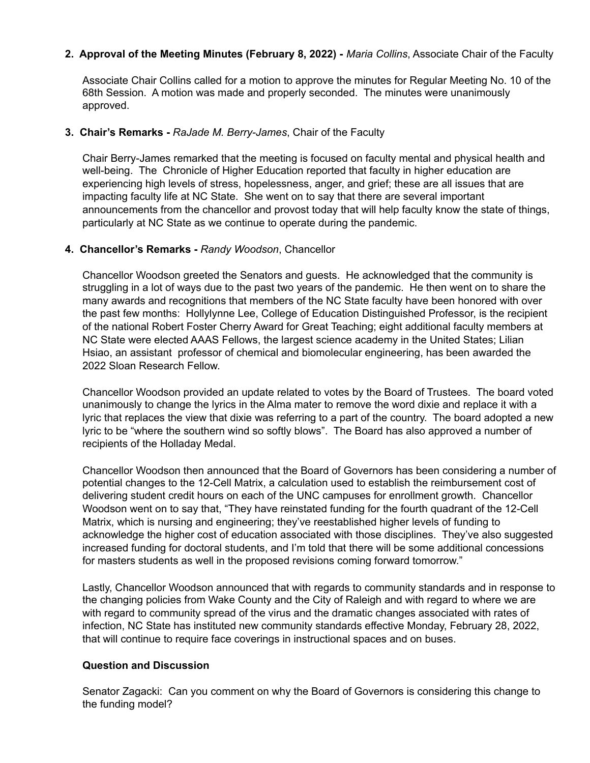## **2. Approval of the Meeting Minutes (February 8, 2022) -** *Maria Collins*, Associate Chair of the Faculty

Associate Chair Collins called for a motion to approve the minutes for Regular Meeting No. 10 of the 68th Session. A motion was made and properly seconded. The minutes were unanimously approved.

#### **3. Chair's Remarks -** *RaJade M. Berry-James*, Chair of the Faculty

Chair Berry-James remarked that the meeting is focused on faculty mental and physical health and well-being. The Chronicle of Higher Education reported that faculty in higher education are experiencing high levels of stress, hopelessness, anger, and grief; these are all issues that are impacting faculty life at NC State. She went on to say that there are several important announcements from the chancellor and provost today that will help faculty know the state of things, particularly at NC State as we continue to operate during the pandemic.

#### **4. Chancellor's Remarks -** *Randy Woodson*, Chancellor

Chancellor Woodson greeted the Senators and guests. He acknowledged that the community is struggling in a lot of ways due to the past two years of the pandemic. He then went on to share the many awards and recognitions that members of the NC State faculty have been honored with over the past few months: Hollylynne Lee, College of Education Distinguished Professor, is the recipient of the national Robert Foster Cherry Award for Great Teaching; eight additional faculty members at NC State were elected AAAS Fellows, the largest science academy in the United States; Lilian Hsiao, an assistant professor of chemical and biomolecular engineering, has been awarded the 2022 Sloan Research Fellow.

Chancellor Woodson provided an update related to votes by the Board of Trustees. The board voted unanimously to change the lyrics in the Alma mater to remove the word dixie and replace it with a lyric that replaces the view that dixie was referring to a part of the country. The board adopted a new lyric to be "where the southern wind so softly blows". The Board has also approved a number of recipients of the Holladay Medal.

Chancellor Woodson then announced that the Board of Governors has been considering a number of potential changes to the 12-Cell Matrix, a calculation used to establish the reimbursement cost of delivering student credit hours on each of the UNC campuses for enrollment growth. Chancellor Woodson went on to say that, "They have reinstated funding for the fourth quadrant of the 12-Cell Matrix, which is nursing and engineering; they've reestablished higher levels of funding to acknowledge the higher cost of education associated with those disciplines. They've also suggested increased funding for doctoral students, and I'm told that there will be some additional concessions for masters students as well in the proposed revisions coming forward tomorrow."

Lastly, Chancellor Woodson announced that with regards to community standards and in response to the changing policies from Wake County and the City of Raleigh and with regard to where we are with regard to community spread of the virus and the dramatic changes associated with rates of infection, NC State has instituted new community standards effective Monday, February 28, 2022, that will continue to require face coverings in instructional spaces and on buses.

## **Question and Discussion**

Senator Zagacki: Can you comment on why the Board of Governors is considering this change to the funding model?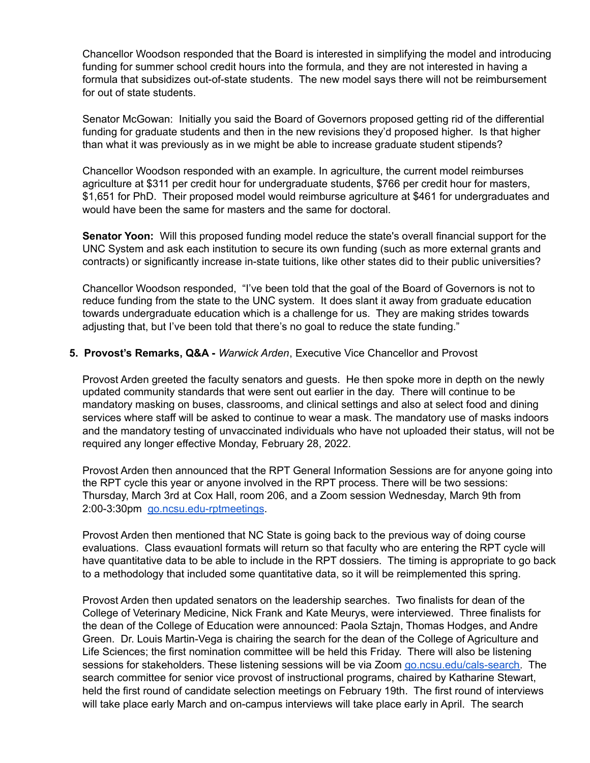Chancellor Woodson responded that the Board is interested in simplifying the model and introducing funding for summer school credit hours into the formula, and they are not interested in having a formula that subsidizes out-of-state students. The new model says there will not be reimbursement for out of state students.

Senator McGowan: Initially you said the Board of Governors proposed getting rid of the differential funding for graduate students and then in the new revisions they'd proposed higher. Is that higher than what it was previously as in we might be able to increase graduate student stipends?

Chancellor Woodson responded with an example. In agriculture, the current model reimburses agriculture at \$311 per credit hour for undergraduate students, \$766 per credit hour for masters, \$1,651 for PhD. Their proposed model would reimburse agriculture at \$461 for undergraduates and would have been the same for masters and the same for doctoral.

**Senator Yoon:** Will this proposed funding model reduce the state's overall financial support for the UNC System and ask each institution to secure its own funding (such as more external grants and contracts) or significantly increase in-state tuitions, like other states did to their public universities?

Chancellor Woodson responded, "I've been told that the goal of the Board of Governors is not to reduce funding from the state to the UNC system. It does slant it away from graduate education towards undergraduate education which is a challenge for us. They are making strides towards adjusting that, but I've been told that there's no goal to reduce the state funding."

#### **5. Provost's Remarks, Q&A -** *Warwick Arden*, Executive Vice Chancellor and Provost

Provost Arden greeted the faculty senators and guests. He then spoke more in depth on the newly updated community standards that were sent out earlier in the day. There will continue to be mandatory masking on buses, classrooms, and clinical settings and also at select food and dining services where staff will be asked to continue to wear a mask. The mandatory use of masks indoors and the mandatory testing of unvaccinated individuals who have not uploaded their status, will not be required any longer effective Monday, February 28, 2022.

Provost Arden then announced that the RPT General Information Sessions are for anyone going into the RPT cycle this year or anyone involved in the RPT process. There will be two sessions: Thursday, March 3rd at Cox Hall, room 206, and a Zoom session Wednesday, March 9th from 2:00-3:30pm [go.ncsu.edu-rptmeetings](http://go.ncsu.edu-rptmeetings).

Provost Arden then mentioned that NC State is going back to the previous way of doing course evaluations. Class evauationl formats will return so that faculty who are entering the RPT cycle will have quantitative data to be able to include in the RPT dossiers. The timing is appropriate to go back to a methodology that included some quantitative data, so it will be reimplemented this spring.

Provost Arden then updated senators on the leadership searches. Two finalists for dean of the College of Veterinary Medicine, Nick Frank and Kate Meurys, were interviewed. Three finalists for the dean of the College of Education were announced: Paola Sztajn, Thomas Hodges, and Andre Green. Dr. Louis Martin-Vega is chairing the search for the dean of the College of Agriculture and Life Sciences; the first nomination committee will be held this Friday. There will also be listening sessions for stakeholders. These listening sessions will be via Zoom [go.ncsu.edu/cals-search.](http://go.ncsu.edu/cals-search) The search committee for senior vice provost of instructional programs, chaired by Katharine Stewart, held the first round of candidate selection meetings on February 19th. The first round of interviews will take place early March and on-campus interviews will take place early in April. The search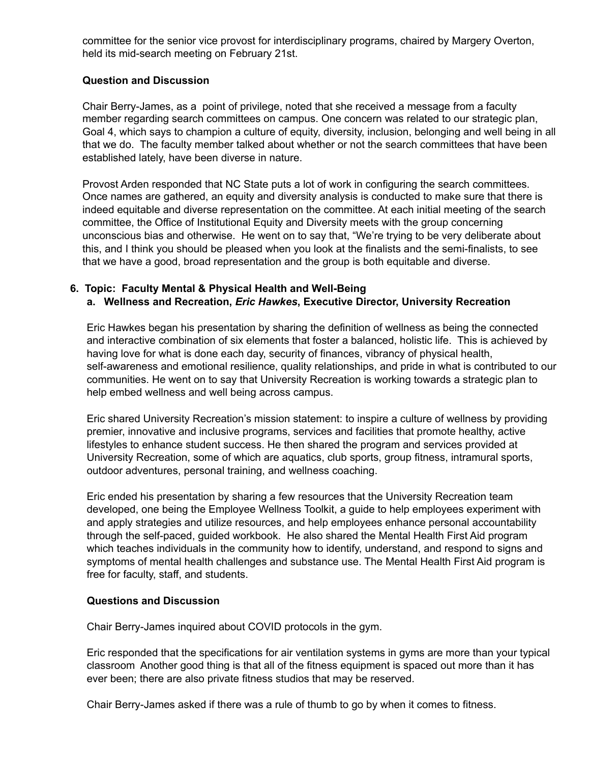committee for the senior vice provost for interdisciplinary programs, chaired by Margery Overton, held its mid-search meeting on February 21st.

## **Question and Discussion**

Chair Berry-James, as a point of privilege, noted that she received a message from a faculty member regarding search committees on campus. One concern was related to our strategic plan, Goal 4, which says to champion a culture of equity, diversity, inclusion, belonging and well being in all that we do. The faculty member talked about whether or not the search committees that have been established lately, have been diverse in nature.

Provost Arden responded that NC State puts a lot of work in configuring the search committees. Once names are gathered, an equity and diversity analysis is conducted to make sure that there is indeed equitable and diverse representation on the committee. At each initial meeting of the search committee, the Office of Institutional Equity and Diversity meets with the group concerning unconscious bias and otherwise. He went on to say that, "We're trying to be very deliberate about this, and I think you should be pleased when you look at the finalists and the semi-finalists, to see that we have a good, broad representation and the group is both equitable and diverse.

## **6. Topic: Faculty Mental & Physical Health and Well-Being**

## **a. Wellness and Recreation,** *Eric Hawkes***, Executive Director, University Recreation**

Eric Hawkes began his presentation by sharing the definition of wellness as being the connected and interactive combination of six elements that foster a balanced, holistic life. This is achieved by having love for what is done each day, security of finances, vibrancy of physical health, self-awareness and emotional resilience, quality relationships, and pride in what is contributed to our communities. He went on to say that University Recreation is working towards a strategic plan to help embed wellness and well being across campus.

Eric shared University Recreation's mission statement: to inspire a culture of wellness by providing premier, innovative and inclusive programs, services and facilities that promote healthy, active lifestyles to enhance student success. He then shared the program and services provided at University Recreation, some of which are aquatics, club sports, group fitness, intramural sports, outdoor adventures, personal training, and wellness coaching.

Eric ended his presentation by sharing a few resources that the University Recreation team developed, one being the Employee Wellness Toolkit, a guide to help employees experiment with and apply strategies and utilize resources, and help employees enhance personal accountability through the self-paced, guided workbook. He also shared the Mental Health First Aid program which teaches individuals in the community how to identify, understand, and respond to signs and symptoms of mental health challenges and substance use. The Mental Health First Aid program is free for faculty, staff, and students.

## **Questions and Discussion**

Chair Berry-James inquired about COVID protocols in the gym.

Eric responded that the specifications for air ventilation systems in gyms are more than your typical classroom Another good thing is that all of the fitness equipment is spaced out more than it has ever been; there are also private fitness studios that may be reserved.

Chair Berry-James asked if there was a rule of thumb to go by when it comes to fitness.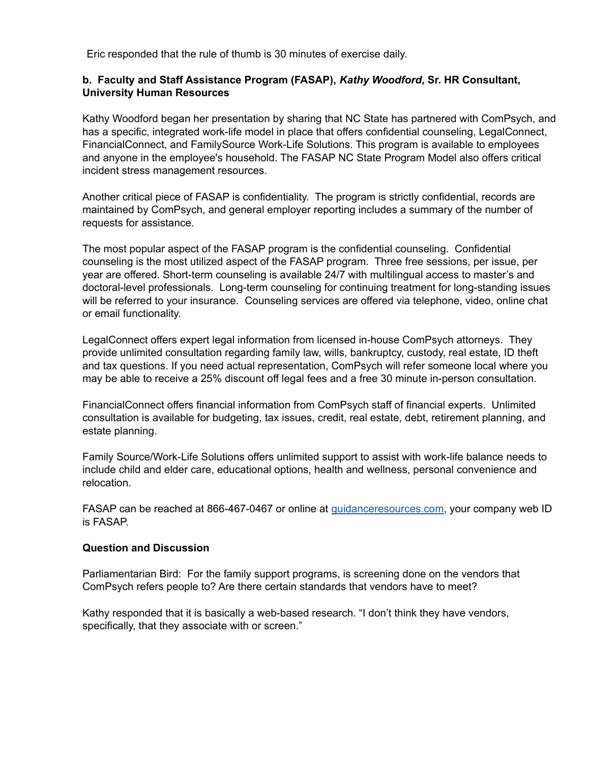Eric responded that the rule of thumb is 30 minutes of exercise daily.

#### **b. Faculty and Staff Assistance Program (FASAP),** *Kathy Woodford***, Sr. HR Consultant, University Human Resources**

Kathy Woodford began her presentation by sharing that NC State has partnered with ComPsych, and has a specific, integrated work-life model in place that offers confidential counseling, LegalConnect, FinancialConnect, and FamilySource Work-Life Solutions. This program is available to employees and anyone in the employee's household. The FASAP NC State Program Model also offers critical incident stress management resources.

Another critical piece of FASAP is confidentiality. The program is strictly confidential, records are maintained by ComPsych, and general employer reporting includes a summary of the number of requests for assistance.

The most popular aspect of the FASAP program is the confidential counseling. Confidential counseling is the most utilized aspect of the FASAP program. Three free sessions, per issue, per year are offered. Short-term counseling is available 24/7 with multilingual access to master's and doctoral-level professionals. Long-term counseling for continuing treatment for long-standing issues will be referred to your insurance. Counseling services are offered via telephone, video, online chat or email functionality.

LegalConnect offers expert legal information from licensed in-house ComPsych attorneys. They provide unlimited consultation regarding family law, wills, bankruptcy, custody, real estate, ID theft and tax questions. If you need actual representation, ComPsych will refer someone local where you may be able to receive a 25% discount off legal fees and a free 30 minute in-person consultation.

FinancialConnect offers financial information from ComPsych staff of financial experts. Unlimited consultation is available for budgeting, tax issues, credit, real estate, debt, retirement planning, and estate planning.

Family Source/Work-Life Solutions offers unlimited support to assist with work-life balance needs to include child and elder care, educational options, health and wellness, personal convenience and relocation.

FASAP can be reached at 866-467-0467 or online at [guidanceresources.com,](http://guidanceresources.com) your company web ID is FASAP.

## **Question and Discussion**

Parliamentarian Bird: For the family support programs, is screening done on the vendors that ComPsych refers people to? Are there certain standards that vendors have to meet?

Kathy responded that it is basically a web-based research. "I don't think they have vendors, specifically, that they associate with or screen."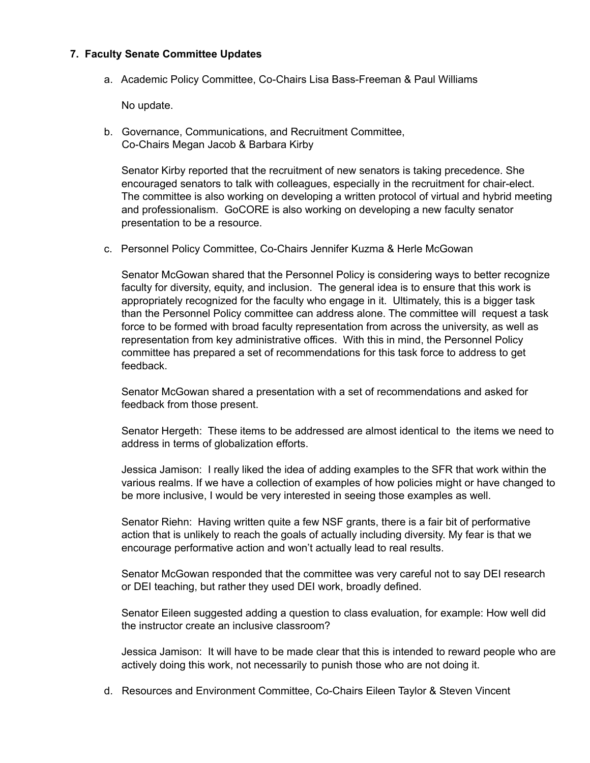#### **7. Faculty Senate Committee Updates**

a. Academic Policy Committee, Co-Chairs Lisa Bass-Freeman & Paul Williams

No update.

b. Governance, Communications, and Recruitment Committee, Co-Chairs Megan Jacob & Barbara Kirby

Senator Kirby reported that the recruitment of new senators is taking precedence. She encouraged senators to talk with colleagues, especially in the recruitment for chair-elect. The committee is also working on developing a written protocol of virtual and hybrid meeting and professionalism. GoCORE is also working on developing a new faculty senator presentation to be a resource.

c. Personnel Policy Committee, Co-Chairs Jennifer Kuzma & Herle McGowan

Senator McGowan shared that the Personnel Policy is considering ways to better recognize faculty for diversity, equity, and inclusion. The general idea is to ensure that this work is appropriately recognized for the faculty who engage in it. Ultimately, this is a bigger task than the Personnel Policy committee can address alone. The committee will request a task force to be formed with broad faculty representation from across the university, as well as representation from key administrative offices. With this in mind, the Personnel Policy committee has prepared a set of recommendations for this task force to address to get feedback.

Senator McGowan shared a presentation with a set of recommendations and asked for feedback from those present.

Senator Hergeth: These items to be addressed are almost identical to the items we need to address in terms of globalization efforts.

Jessica Jamison: I really liked the idea of adding examples to the SFR that work within the various realms. If we have a collection of examples of how policies might or have changed to be more inclusive, I would be very interested in seeing those examples as well.

Senator Riehn: Having written quite a few NSF grants, there is a fair bit of performative action that is unlikely to reach the goals of actually including diversity. My fear is that we encourage performative action and won't actually lead to real results.

Senator McGowan responded that the committee was very careful not to say DEI research or DEI teaching, but rather they used DEI work, broadly defined.

Senator Eileen suggested adding a question to class evaluation, for example: How well did the instructor create an inclusive classroom?

Jessica Jamison: It will have to be made clear that this is intended to reward people who are actively doing this work, not necessarily to punish those who are not doing it.

d. Resources and Environment Committee, Co-Chairs Eileen Taylor & Steven Vincent